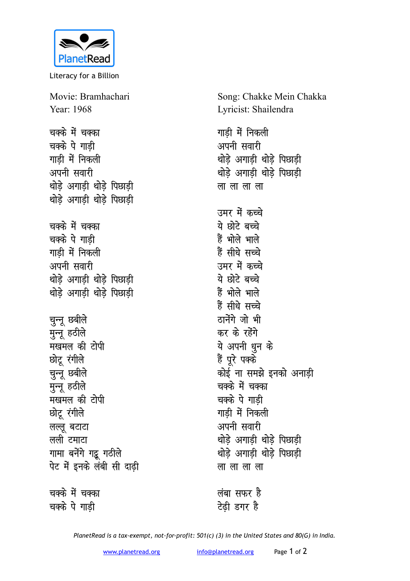

Literacy for a Billion

Movie: Bramhachari Year: 1968 चक्के में चक्का चक्के पे गाडी गाडी में निकली अपनी सवारी थोडे अगाडी थोडे पिछाडी थोड़े अगाड़ी थोड़े पिछाड़ी चक्के में चक्का चक्के पे गाडी गाडी में निकली अपनी सवारी थोडे अगाडी थोडे पिछाडी थोड़े अगाड़ी थोड़े पिछाड़ी चुन्नू छबीले मुन्नू हठीले मखमल की टोपी छोट् रंगीले चुन्नू छबीले मृन्नू हठीले मखमल की टोपी छोटू रंगीले लल्लू बटाटा लली टमाटा गामा बनेंगे गट्टू गठीले पेट में इनके लंबी सी दाढी चक्के में चक्का

चक्के पे गाडी

Song: Chakke Mein Chakka Lyricist: Shailendra

गाडी में निकली अपनी सवारी थोड़े अगाड़ी थोड़े पिछाड़ी थोडे अगाडी थोडे पिछाडी लालालाला उमर में कच्चे ये छोटे बच्चे हैं भोले भाले हैं सीधे सच्चे उमर में कच्चे ये छोटे बच्चे हैं भोले भाले हैं सीधे सच्चे ठानेंगे जो भी कर के रहेंगे ये अपनी धुन के हैं पूरे पक्के कोई ना समझे इनको अनाडी चक्के में चक्का चक्के पे गाडी गाडी में निकली अपनी सवारी थोडे अगाडी थोडे पिछाडी थोडे अगाडी थोडे पिछाडी लालालाला

लंबा सफर है टेढ़ी डगर है

PlanetRead is a tax-exempt, not-for-profit: 501(c) (3) in the United States and 80(G) in India.